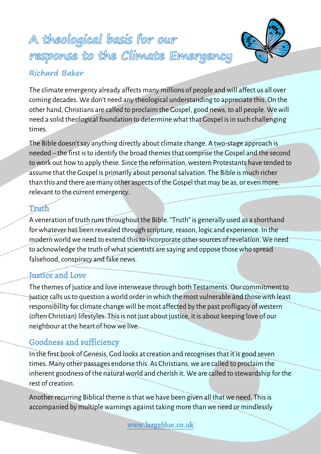# A theological basis for our response to the Climate Emergency **Richard Baker**



The climate emergency already affects many millions of people and will affect us all over coming decades. We don't need any theological understanding to appreciate this. On the other hand, Christians are called to proclaim the Gospel, good news, to all people. Wewill need a solid theological foundation to determine what that Gospel is in such challenging times.

The Bible doesn't say anything directly about climate change. A two-stage approach is needed – the first is to identify the broad themes that comprise the Gospel and the second to work out how to apply these. Since the reformation, western Protestants have tended to assume that the Gospel is primarily about personal salvation. The Bible is much richer than this and there are many other aspects of the Gospel that may be as, or even more, relevant to the current emergency.

## Truth

A veneration of truth runs throughout the Bible. "Truth" is generally used as a shorthand for whatever has been revealed through scripture, reason, logic and experience. In the modern world we need to extend this to incorporate other sources of revelation. We need to acknowledge the truth of what scientists are saying and oppose those who spread falsehood, conspiracy and fake news.

# Justice and Love

The themes of justice and love interweave through both Testaments. Our commitment to justice calls us to question aworld order in which the most vulnerable and those with least responsibility for climate change will be most affected by the past profligacy of western (often Christian) lifestyles. This is not just about justice, it is about keeping love of our neighbour at the heart of how we live.

# Goodness and sufficiency

In the first book of Genesis, God looks at creation and recognisesthat it is good seven times. Many other passages endorse this. As Christians, we are called to proclaim the inherent goodness of the natural world and cherish it. We are called to stewardship for the rest of creation.

Another recurring Biblical theme is that we have been given all that we need. This is accompanied by multiple warnings against taking more than we need or mindlessly